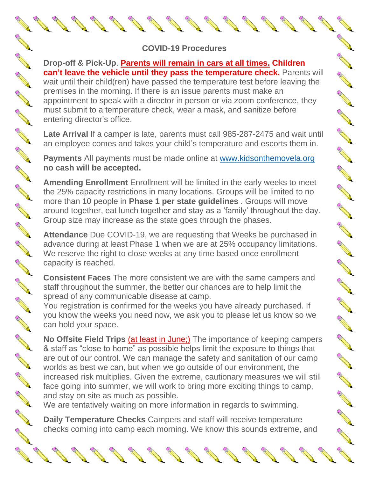## **COVID-19 Procedures**

## **Drop-off & Pick-Up**. **Parents will remain in cars at all times. Children can't leave the vehicle until they pass the temperature check.** Parents will

wait until their child(ren) have passed the temperature test before leaving the premises in the morning. If there is an issue parents must make an appointment to speak with a director in person or via zoom conference, they must submit to a temperature check, wear a mask, and sanitize before entering director's office.

A Maria

A REAL REAL

**RANCISCO** 

A AN

Chance Re

RANT ROOM

A March

B All R

AND RD

**ANTICOLOGICAL COMPANY** 

A March 19

AN RO

A March 19

A March 19

AND TO

AND TO BE A PARTICULAR OF

A RIVER

A March 19

**Late Arrival** If a camper is late, parents must call 985-287-2475 and wait until an employee comes and takes your child's temperature and escorts them in.

**Payments** All payments must be made online at [www.kidsonthemovela.org](http://www.kidsonthemovela.org/) **no cash will be accepted.**

**Amending Enrollment** Enrollment will be limited in the early weeks to meet the 25% capacity restrictions in many locations. Groups will be limited to no more than 10 people in **Phase 1 per state guidelines** . Groups will move around together, eat lunch together and stay as a 'family' throughout the day. Group size may increase as the state goes through the phases.

**Attendance** Due COVID-19, we are requesting that Weeks be purchased in advance during at least Phase 1 when we are at 25% occupancy limitations. We reserve the right to close weeks at any time based once enrollment capacity is reached.

**Consistent Faces** The more consistent we are with the same campers and staff throughout the summer, the better our chances are to help limit the spread of any communicable disease at camp.

You registration is confirmed for the weeks you have already purchased. If you know the weeks you need now, we ask you to please let us know so we can hold your space.

**No Offsite Field Trips** (at least in June;) The importance of keeping campers & staff as "close to home" as possible helps limit the exposure to things that are out of our control. We can manage the safety and sanitation of our camp worlds as best we can, but when we go outside of our environment, the increased risk multiplies. Given the extreme, cautionary measures we will still face going into summer, we will work to bring more exciting things to camp, and stay on site as much as possible.

We are tentatively waiting on more information in regards to swimming.

**Daily Temperature Checks** Campers and staff will receive temperature checks coming into camp each morning. We know this sounds extreme, and